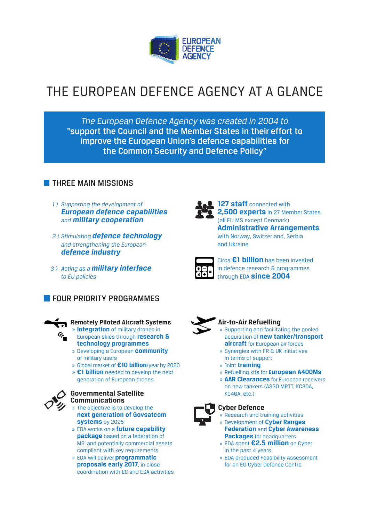

# THE EUROPEAN DEFENCE AGENCY AT A GLANCE

*The European Defence Agency was created in 2004 to*  "support the Council and the Member States in their effort to improve the European Union's defence capabilities for the Common Security and Defence Policy"

# **THREE MAIN MISSIONS**

- *1 > Supporting the development of European defence capabilities and military cooperation*
- *2 > Stimulating defence technology and strengthening the European defence industry*
- *3 > Acting as a military interface to EU policies*

# **FOUR PRIORITY PROGRAMMES**



# **Remotely Piloted Aircraft Systems**

- » **Integration** of military drones in European skies through **research & technology programmes**
- » Developing a European **community** of military users
- » Global market of **€10 billion**/year by 2020
- » **€1 billion** needed to develop the next generation of European drones



#### **Governmental Satellite Communications**

- » The objective is to develop the **next generation of Govsatcom systems** by 2025
- » EDA works on a **future capability package** based on a federation of MS' and potentially commercial assets compliant with key requirements
- » EDA will deliver **programmatic proposals early 2017**, in close coordination with EC and ESA activities



127 staff connected with **2,500 experts** in 27 Member States (all EU MS except Denmark) **Administrative Arrangements** with Norway, Switzerland, Serbia and Ukraine



Circa **€1 billion** has been invested in defence research & programmes through EDA **since 2004**



#### **Air-to-Air Refuelling**

- » Supporting and facilitating the pooled acquisition of **new tanker/transport aircraft** for European air forces
- » Synergies with FR & UK initiatives in terms of support
- » Joint **training**
- » Refuelling kits for **European A400Ms**
- » **AAR Clearances** for European receivers on new tankers (A330 MRTT, KC30A, KC46A, etc.)



## **Cyber Defence**

- » Research and training activities
- » Development of **Cyber Ranges Federation** and **Cyber Awareness Packages** for headquarters
- » EDA spent **€2.5 million** on Cyber in the past 4 years
- » EDA produced Feasibility Assessment for an EU Cyber Defence Centre